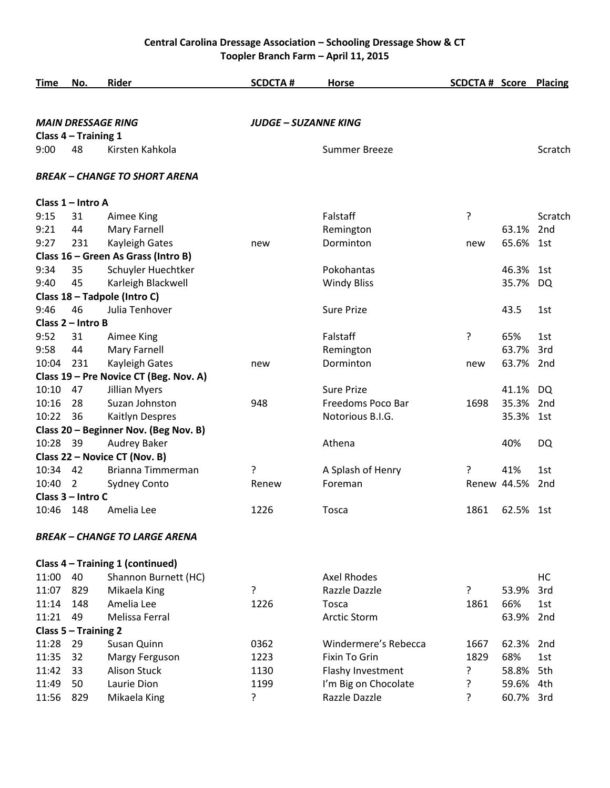## **Central Carolina Dressage Association – Schooling Dressage Show & CT Toopler Branch Farm – April 11, 2015**

| Time  | No.                  | <b>Rider</b>                           | <b>SCDCTA#</b>              | <b>Horse</b>         | <b>SCDCTA # Score Placing</b> |             |                 |
|-------|----------------------|----------------------------------------|-----------------------------|----------------------|-------------------------------|-------------|-----------------|
|       |                      |                                        |                             |                      |                               |             |                 |
|       |                      | <b>MAIN DRESSAGE RING</b>              | <b>JUDGE – SUZANNE KING</b> |                      |                               |             |                 |
|       | Class 4 - Training 1 |                                        |                             |                      |                               |             |                 |
| 9:00  | 48                   | Kirsten Kahkola                        |                             | <b>Summer Breeze</b> |                               |             | Scratch         |
|       |                      | <b>BREAK - CHANGE TO SHORT ARENA</b>   |                             |                      |                               |             |                 |
|       | Class 1 - Intro A    |                                        |                             |                      |                               |             |                 |
| 9:15  | 31                   | Aimee King                             |                             | Falstaff             | ?                             |             | Scratch         |
| 9:21  | 44                   | Mary Farnell                           |                             | Remington            |                               | 63.1%       | 2nd             |
| 9:27  | 231                  | Kayleigh Gates                         | new                         | Dorminton            | new                           | 65.6%       | 1st             |
|       |                      | Class 16 - Green As Grass (Intro B)    |                             |                      |                               |             |                 |
| 9:34  | 35                   | Schuyler Huechtker                     |                             | Pokohantas           |                               | 46.3%       | 1st             |
| 9:40  | 45                   | Karleigh Blackwell                     |                             | <b>Windy Bliss</b>   |                               | 35.7%       | DQ              |
|       |                      | Class 18 - Tadpole (Intro C)           |                             |                      |                               |             |                 |
| 9:46  | 46                   | Julia Tenhover                         |                             | <b>Sure Prize</b>    |                               | 43.5        | 1st             |
|       | Class 2 - Intro B    |                                        |                             |                      |                               |             |                 |
| 9:52  | 31                   | Aimee King                             |                             | Falstaff             | ?                             | 65%         | 1st             |
| 9:58  | 44                   | Mary Farnell                           |                             | Remington            |                               | 63.7%       | 3rd             |
| 10:04 | 231                  | Kayleigh Gates                         | new                         | Dorminton            | new                           | 63.7%       | 2nd             |
|       |                      | Class 19 - Pre Novice CT (Beg. Nov. A) |                             |                      |                               |             |                 |
| 10:10 | 47                   | <b>Jillian Myers</b>                   |                             | <b>Sure Prize</b>    |                               | 41.1%       | <b>DQ</b>       |
| 10:16 | 28                   | Suzan Johnston                         | 948                         | Freedoms Poco Bar    | 1698                          | 35.3%       | 2nd             |
| 10:22 | 36                   | Kaitlyn Despres                        |                             | Notorious B.I.G.     |                               | 35.3%       | 1st             |
|       |                      | Class 20 - Beginner Nov. (Beg Nov. B)  |                             |                      |                               |             |                 |
| 10:28 | 39                   | Audrey Baker                           |                             | Athena               |                               | 40%         | DQ              |
|       |                      | Class 22 - Novice CT (Nov. B)          |                             |                      |                               |             |                 |
| 10:34 | 42                   | Brianna Timmerman                      | ?                           | A Splash of Henry    | ?                             | 41%         | 1st             |
| 10:40 | 2                    | <b>Sydney Conto</b>                    | Renew                       | Foreman              |                               | Renew 44.5% | 2 <sub>nd</sub> |
|       | Class 3 - Intro C    |                                        |                             |                      |                               |             |                 |
| 10:46 | 148                  | Amelia Lee                             | 1226                        | <b>Tosca</b>         | 1861                          | 62.5% 1st   |                 |
|       |                      | <b>BREAK - CHANGE TO LARGE ARENA</b>   |                             |                      |                               |             |                 |
|       |                      | Class 4 - Training 1 (continued)       |                             |                      |                               |             |                 |
| 11:00 | 40                   | Shannon Burnett (HC)                   |                             | <b>Axel Rhodes</b>   |                               |             | HC              |
| 11:07 | 829                  | Mikaela King                           | ?                           | Razzle Dazzle        | ?                             | 53.9%       | 3rd             |
| 11:14 | 148                  | Amelia Lee                             | 1226                        | Tosca                | 1861                          | 66%         | 1st             |
| 11:21 | 49                   | Melissa Ferral                         |                             | <b>Arctic Storm</b>  |                               | 63.9%       | 2nd             |
|       | Class 5 - Training 2 |                                        |                             |                      |                               |             |                 |
| 11:28 | 29                   | Susan Quinn                            | 0362                        | Windermere's Rebecca | 1667                          | 62.3%       | 2nd             |
| 11:35 | 32                   | Margy Ferguson                         | 1223                        | <b>Fixin To Grin</b> | 1829                          | 68%         | 1st             |
| 11:42 | 33                   | <b>Alison Stuck</b>                    | 1130                        | Flashy Investment    | ?                             | 58.8%       | 5th             |
| 11:49 | 50                   | Laurie Dion                            | 1199                        | I'm Big on Chocolate | ?                             | 59.6%       | 4th             |
| 11:56 | 829                  | Mikaela King                           | ?                           | Razzle Dazzle        | ŗ                             | 60.7%       | 3rd             |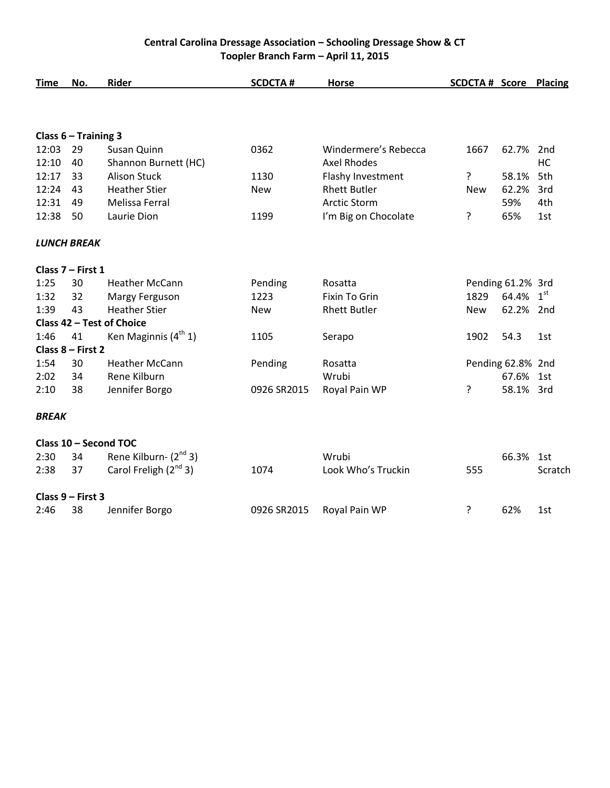## **Central Carolina Dressage Association – Schooling Dressage Show & CT Toopler Branch Farm – April 11, 2015**

| <b>Time</b>  | No.                    | Rider                      | <b>SCDCTA#</b> | <b>Horse</b>         | <b>SCDCTA # Score Placing</b> |                   |                 |
|--------------|------------------------|----------------------------|----------------|----------------------|-------------------------------|-------------------|-----------------|
|              |                        |                            |                |                      |                               |                   |                 |
|              | Class $6 -$ Training 3 |                            |                |                      |                               |                   |                 |
| 12:03        | 29                     | Susan Quinn                | 0362           | Windermere's Rebecca | 1667                          | 62.7%             | 2 <sub>nd</sub> |
| 12:10        | 40                     | Shannon Burnett (HC)       |                | <b>Axel Rhodes</b>   |                               |                   | HC              |
| 12:17        | 33                     | <b>Alison Stuck</b>        | 1130           | Flashy Investment    | ?                             | 58.1%             | 5th             |
| 12:24        | 43                     | <b>Heather Stier</b>       | <b>New</b>     | <b>Rhett Butler</b>  | <b>New</b>                    | 62.2%             | 3rd             |
| 12:31        | 49                     | Melissa Ferral             |                | <b>Arctic Storm</b>  |                               | 59%               | 4th             |
| 12:38        | 50                     | Laurie Dion                | 1199           | I'm Big on Chocolate | ?                             | 65%               | 1st             |
|              | <b>LUNCH BREAK</b>     |                            |                |                      |                               |                   |                 |
|              | Class 7 - First 1      |                            |                |                      |                               |                   |                 |
| 1:25         | 30                     | <b>Heather McCann</b>      | Pending        | Rosatta              |                               | Pending 61.2% 3rd |                 |
| 1:32         | 32                     | Margy Ferguson             | 1223           | Fixin To Grin        | 1829                          | 64.4%             | 1 <sup>st</sup> |
| 1:39         | 43                     | <b>Heather Stier</b>       | <b>New</b>     | <b>Rhett Butler</b>  | <b>New</b>                    | 62.2%             | 2nd             |
|              |                        | Class 42 - Test of Choice  |                |                      |                               |                   |                 |
| 1:46         | 41                     | Ken Maginnis $(4th 1)$     | 1105           | Serapo               | 1902                          | 54.3              | 1st             |
|              | Class 8 - First 2      |                            |                |                      |                               |                   |                 |
| 1:54         | 30                     | <b>Heather McCann</b>      | Pending        | Rosatta              |                               | Pending 62.8% 2nd |                 |
| 2:02         | 34                     | Rene Kilburn               |                | Wrubi                |                               | 67.6%             | 1st             |
| 2:10         | 38                     | Jennifer Borgo             | 0926 SR2015    | Royal Pain WP        | ?                             | 58.1% 3rd         |                 |
| <b>BREAK</b> |                        |                            |                |                      |                               |                   |                 |
|              |                        | Class 10 - Second TOC      |                |                      |                               |                   |                 |
| 2:30         | 34                     | Rene Kilburn- $(2^{nd} 3)$ |                | Wrubi                |                               | 66.3%             | 1st             |
| 2:38         | 37                     | Carol Freligh $(2^{nd} 3)$ | 1074           | Look Who's Truckin   | 555                           |                   | Scratch         |
|              | Class 9 - First 3      |                            |                |                      |                               |                   |                 |
| 2:46         | 38                     | Jennifer Borgo             | 0926 SR2015    | Royal Pain WP        | ?                             | 62%               | 1st             |